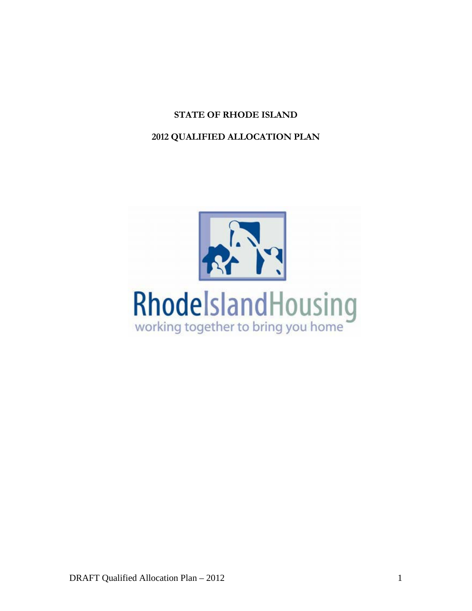# **STATE OF RHODE ISLAND**

# **2012 QUALIFIED ALLOCATION PLAN**

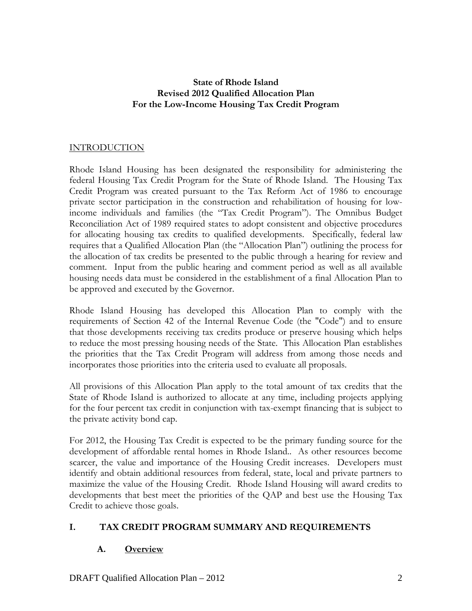### **State of Rhode Island Revised 2012 Qualified Allocation Plan For the Low-Income Housing Tax Credit Program**

## INTRODUCTION

Rhode Island Housing has been designated the responsibility for administering the federal Housing Tax Credit Program for the State of Rhode Island. The Housing Tax Credit Program was created pursuant to the Tax Reform Act of 1986 to encourage private sector participation in the construction and rehabilitation of housing for lowincome individuals and families (the "Tax Credit Program"). The Omnibus Budget Reconciliation Act of 1989 required states to adopt consistent and objective procedures for allocating housing tax credits to qualified developments. Specifically, federal law requires that a Qualified Allocation Plan (the "Allocation Plan") outlining the process for the allocation of tax credits be presented to the public through a hearing for review and comment. Input from the public hearing and comment period as well as all available housing needs data must be considered in the establishment of a final Allocation Plan to be approved and executed by the Governor.

Rhode Island Housing has developed this Allocation Plan to comply with the requirements of Section 42 of the Internal Revenue Code (the "Code") and to ensure that those developments receiving tax credits produce or preserve housing which helps to reduce the most pressing housing needs of the State. This Allocation Plan establishes the priorities that the Tax Credit Program will address from among those needs and incorporates those priorities into the criteria used to evaluate all proposals.

All provisions of this Allocation Plan apply to the total amount of tax credits that the State of Rhode Island is authorized to allocate at any time, including projects applying for the four percent tax credit in conjunction with tax-exempt financing that is subject to the private activity bond cap.

For 2012, the Housing Tax Credit is expected to be the primary funding source for the development of affordable rental homes in Rhode Island.. As other resources become scarcer, the value and importance of the Housing Credit increases. Developers must identify and obtain additional resources from federal, state, local and private partners to maximize the value of the Housing Credit. Rhode Island Housing will award credits to developments that best meet the priorities of the QAP and best use the Housing Tax Credit to achieve those goals.

### **I. TAX CREDIT PROGRAM SUMMARY AND REQUIREMENTS**

# **A. Overview**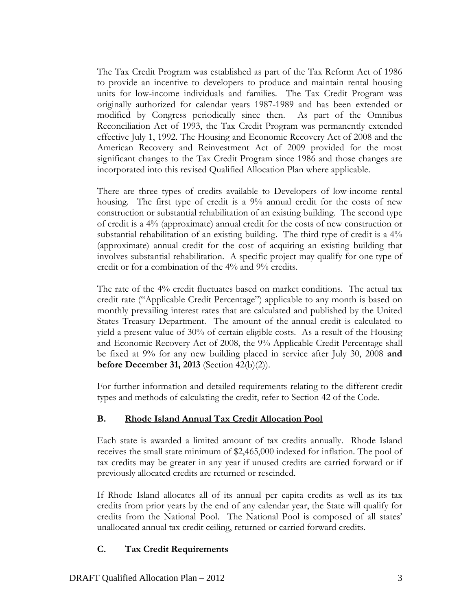The Tax Credit Program was established as part of the Tax Reform Act of 1986 to provide an incentive to developers to produce and maintain rental housing units for low-income individuals and families. The Tax Credit Program was originally authorized for calendar years 1987-1989 and has been extended or modified by Congress periodically since then. As part of the Omnibus Reconciliation Act of 1993, the Tax Credit Program was permanently extended effective July 1, 1992. The Housing and Economic Recovery Act of 2008 and the American Recovery and Reinvestment Act of 2009 provided for the most significant changes to the Tax Credit Program since 1986 and those changes are incorporated into this revised Qualified Allocation Plan where applicable.

There are three types of credits available to Developers of low-income rental housing. The first type of credit is a 9% annual credit for the costs of new construction or substantial rehabilitation of an existing building. The second type of credit is a 4% (approximate) annual credit for the costs of new construction or substantial rehabilitation of an existing building. The third type of credit is a 4% (approximate) annual credit for the cost of acquiring an existing building that involves substantial rehabilitation. A specific project may qualify for one type of credit or for a combination of the 4% and 9% credits.

The rate of the 4% credit fluctuates based on market conditions. The actual tax credit rate ("Applicable Credit Percentage") applicable to any month is based on monthly prevailing interest rates that are calculated and published by the United States Treasury Department. The amount of the annual credit is calculated to yield a present value of 30% of certain eligible costs. As a result of the Housing and Economic Recovery Act of 2008, the 9% Applicable Credit Percentage shall be fixed at 9% for any new building placed in service after July 30, 2008 **and before December 31, 2013** (Section 42(b)(2)).

For further information and detailed requirements relating to the different credit types and methods of calculating the credit, refer to Section 42 of the Code.

# **B. Rhode Island Annual Tax Credit Allocation Pool**

Each state is awarded a limited amount of tax credits annually. Rhode Island receives the small state minimum of \$2,465,000 indexed for inflation. The pool of tax credits may be greater in any year if unused credits are carried forward or if previously allocated credits are returned or rescinded.

If Rhode Island allocates all of its annual per capita credits as well as its tax credits from prior years by the end of any calendar year, the State will qualify for credits from the National Pool. The National Pool is composed of all states' unallocated annual tax credit ceiling, returned or carried forward credits.

# **C. Tax Credit Requirements**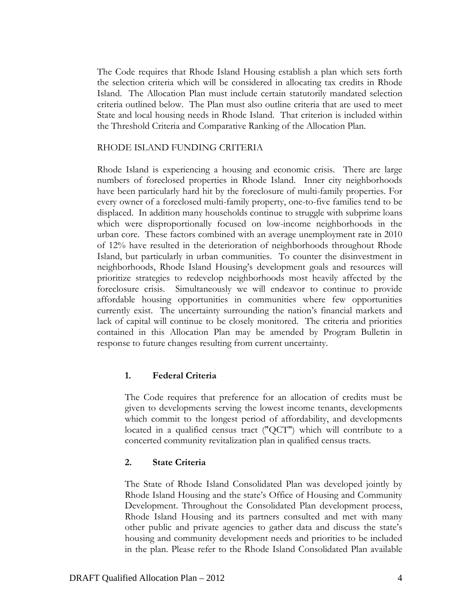The Code requires that Rhode Island Housing establish a plan which sets forth the selection criteria which will be considered in allocating tax credits in Rhode Island. The Allocation Plan must include certain statutorily mandated selection criteria outlined below. The Plan must also outline criteria that are used to meet State and local housing needs in Rhode Island. That criterion is included within the Threshold Criteria and Comparative Ranking of the Allocation Plan.

#### RHODE ISLAND FUNDING CRITERIA

Rhode Island is experiencing a housing and economic crisis. There are large numbers of foreclosed properties in Rhode Island. Inner city neighborhoods have been particularly hard hit by the foreclosure of multi-family properties. For every owner of a foreclosed multi-family property, one-to-five families tend to be displaced. In addition many households continue to struggle with subprime loans which were disproportionally focused on low-income neighborhoods in the urban core. These factors combined with an average unemployment rate in 2010 of 12% have resulted in the deterioration of neighborhoods throughout Rhode Island, but particularly in urban communities. To counter the disinvestment in neighborhoods, Rhode Island Housing's development goals and resources will prioritize strategies to redevelop neighborhoods most heavily affected by the foreclosure crisis. Simultaneously we will endeavor to continue to provide affordable housing opportunities in communities where few opportunities currently exist. The uncertainty surrounding the nation's financial markets and lack of capital will continue to be closely monitored. The criteria and priorities contained in this Allocation Plan may be amended by Program Bulletin in response to future changes resulting from current uncertainty.

#### **1. Federal Criteria**

The Code requires that preference for an allocation of credits must be given to developments serving the lowest income tenants, developments which commit to the longest period of affordability, and developments located in a qualified census tract ("QCT") which will contribute to a concerted community revitalization plan in qualified census tracts.

#### **2. State Criteria**

The State of Rhode Island Consolidated Plan was developed jointly by Rhode Island Housing and the state's Office of Housing and Community Development. Throughout the Consolidated Plan development process, Rhode Island Housing and its partners consulted and met with many other public and private agencies to gather data and discuss the state's housing and community development needs and priorities to be included in the plan. Please refer to the Rhode Island Consolidated Plan available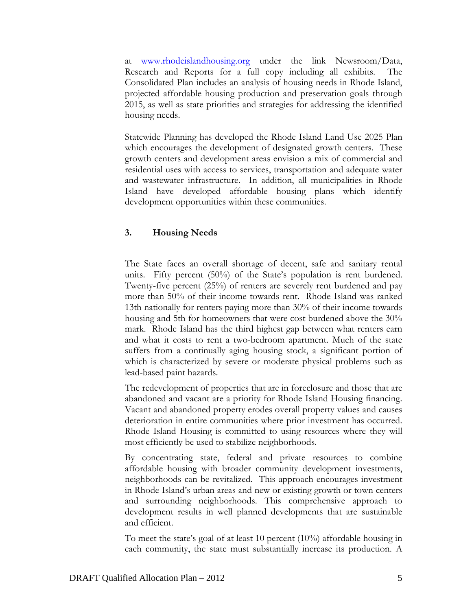at www.rhodeislandhousing.org under the link Newsroom/Data, Research and Reports for a full copy including all exhibits. The Consolidated Plan includes an analysis of housing needs in Rhode Island, projected affordable housing production and preservation goals through 2015, as well as state priorities and strategies for addressing the identified housing needs.

Statewide Planning has developed the Rhode Island Land Use 2025 Plan which encourages the development of designated growth centers. These growth centers and development areas envision a mix of commercial and residential uses with access to services, transportation and adequate water and wastewater infrastructure. In addition, all municipalities in Rhode Island have developed affordable housing plans which identify development opportunities within these communities.

#### **3. Housing Needs**

The State faces an overall shortage of decent, safe and sanitary rental units. Fifty percent (50%) of the State's population is rent burdened. Twenty-five percent (25%) of renters are severely rent burdened and pay more than 50% of their income towards rent. Rhode Island was ranked 13th nationally for renters paying more than 30% of their income towards housing and 5th for homeowners that were cost burdened above the 30% mark. Rhode Island has the third highest gap between what renters earn and what it costs to rent a two-bedroom apartment. Much of the state suffers from a continually aging housing stock, a significant portion of which is characterized by severe or moderate physical problems such as lead-based paint hazards.

The redevelopment of properties that are in foreclosure and those that are abandoned and vacant are a priority for Rhode Island Housing financing. Vacant and abandoned property erodes overall property values and causes deterioration in entire communities where prior investment has occurred. Rhode Island Housing is committed to using resources where they will most efficiently be used to stabilize neighborhoods.

By concentrating state, federal and private resources to combine affordable housing with broader community development investments, neighborhoods can be revitalized. This approach encourages investment in Rhode Island's urban areas and new or existing growth or town centers and surrounding neighborhoods. This comprehensive approach to development results in well planned developments that are sustainable and efficient.

To meet the state's goal of at least 10 percent (10%) affordable housing in each community, the state must substantially increase its production. A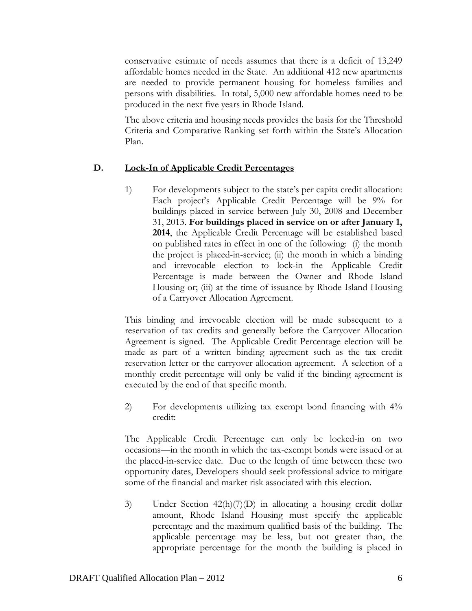conservative estimate of needs assumes that there is a deficit of 13,249 affordable homes needed in the State. An additional 412 new apartments are needed to provide permanent housing for homeless families and persons with disabilities. In total, 5,000 new affordable homes need to be produced in the next five years in Rhode Island.

The above criteria and housing needs provides the basis for the Threshold Criteria and Comparative Ranking set forth within the State's Allocation Plan.

### **D. Lock-In of Applicable Credit Percentages**

1) For developments subject to the state's per capita credit allocation: Each project's Applicable Credit Percentage will be 9% for buildings placed in service between July 30, 2008 and December 31, 2013. **For buildings placed in service on or after January 1, 2014**, the Applicable Credit Percentage will be established based on published rates in effect in one of the following: (i) the month the project is placed-in-service; (ii) the month in which a binding and irrevocable election to lock-in the Applicable Credit Percentage is made between the Owner and Rhode Island Housing or; (iii) at the time of issuance by Rhode Island Housing of a Carryover Allocation Agreement.

This binding and irrevocable election will be made subsequent to a reservation of tax credits and generally before the Carryover Allocation Agreement is signed. The Applicable Credit Percentage election will be made as part of a written binding agreement such as the tax credit reservation letter or the carryover allocation agreement. A selection of a monthly credit percentage will only be valid if the binding agreement is executed by the end of that specific month.

2) For developments utilizing tax exempt bond financing with 4% credit:

The Applicable Credit Percentage can only be locked-in on two occasions—in the month in which the tax-exempt bonds were issued or at the placed-in-service date. Due to the length of time between these two opportunity dates, Developers should seek professional advice to mitigate some of the financial and market risk associated with this election.

3) Under Section 42(h)(7)(D) in allocating a housing credit dollar amount, Rhode Island Housing must specify the applicable percentage and the maximum qualified basis of the building. The applicable percentage may be less, but not greater than, the appropriate percentage for the month the building is placed in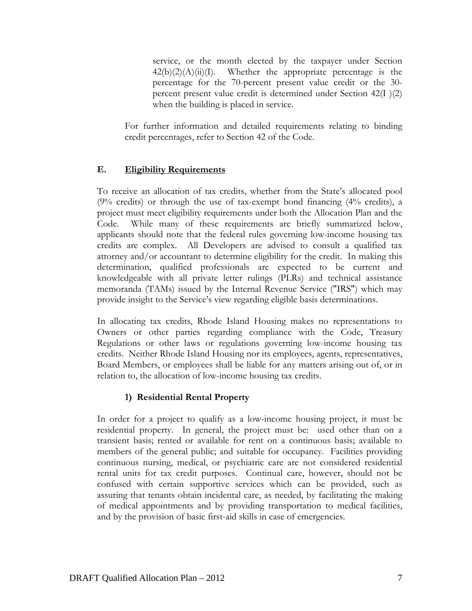service, or the month elected by the taxpayer under Section  $42(b)(2)(A)(ii)(I)$ . Whether the appropriate percentage is the percentage for the 70-percent present value credit or the 30 percent present value credit is determined under Section 42(I )(2) when the building is placed in service.

For further information and detailed requirements relating to binding credit percentages, refer to Section 42 of the Code.

# **E. Eligibility Requirements**

To receive an allocation of tax credits, whether from the State's allocated pool (9% credits) or through the use of tax-exempt bond financing (4% credits), a project must meet eligibility requirements under both the Allocation Plan and the Code. While many of these requirements are briefly summarized below, applicants should note that the federal rules governing low-income housing tax credits are complex. All Developers are advised to consult a qualified tax attorney and/or accountant to determine eligibility for the credit. In making this determination, qualified professionals are expected to be current and knowledgeable with all private letter rulings (PLRs) and technical assistance memoranda (TAMs) issued by the Internal Revenue Service ("IRS") which may provide insight to the Service's view regarding eligible basis determinations.

In allocating tax credits, Rhode Island Housing makes no representations to Owners or other parties regarding compliance with the Code, Treasury Regulations or other laws or regulations governing low-income housing tax credits. Neither Rhode Island Housing nor its employees, agents, representatives, Board Members, or employees shall be liable for any matters arising out of, or in relation to, the allocation of low-income housing tax credits.

# **1) Residential Rental Property**

In order for a project to qualify as a low-income housing project, it must be residential property. In general, the project must be: used other than on a transient basis; rented or available for rent on a continuous basis; available to members of the general public; and suitable for occupancy. Facilities providing continuous nursing, medical, or psychiatric care are not considered residential rental units for tax credit purposes. Continual care, however, should not be confused with certain supportive services which can be provided, such as assuring that tenants obtain incidental care, as needed, by facilitating the making of medical appointments and by providing transportation to medical facilities, and by the provision of basic first-aid skills in case of emergencies.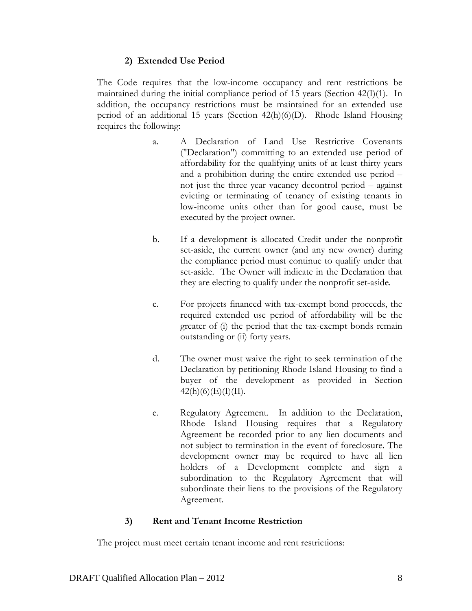#### **2) Extended Use Period**

The Code requires that the low-income occupancy and rent restrictions be maintained during the initial compliance period of 15 years (Section 42(I)(1). In addition, the occupancy restrictions must be maintained for an extended use period of an additional 15 years (Section 42(h)(6)(D). Rhode Island Housing requires the following:

- a. A Declaration of Land Use Restrictive Covenants ("Declaration") committing to an extended use period of affordability for the qualifying units of at least thirty years and a prohibition during the entire extended use period – not just the three year vacancy decontrol period – against evicting or terminating of tenancy of existing tenants in low-income units other than for good cause, must be executed by the project owner.
- b. If a development is allocated Credit under the nonprofit set-aside, the current owner (and any new owner) during the compliance period must continue to qualify under that set-aside. The Owner will indicate in the Declaration that they are electing to qualify under the nonprofit set-aside.
- c. For projects financed with tax-exempt bond proceeds, the required extended use period of affordability will be the greater of (i) the period that the tax-exempt bonds remain outstanding or (ii) forty years.
- d. The owner must waive the right to seek termination of the Declaration by petitioning Rhode Island Housing to find a buyer of the development as provided in Section  $42(h)(6)(E)(I)(II).$
- e. Regulatory Agreement. In addition to the Declaration, Rhode Island Housing requires that a Regulatory Agreement be recorded prior to any lien documents and not subject to termination in the event of foreclosure. The development owner may be required to have all lien holders of a Development complete and sign a subordination to the Regulatory Agreement that will subordinate their liens to the provisions of the Regulatory Agreement.

### **3) Rent and Tenant Income Restriction**

The project must meet certain tenant income and rent restrictions: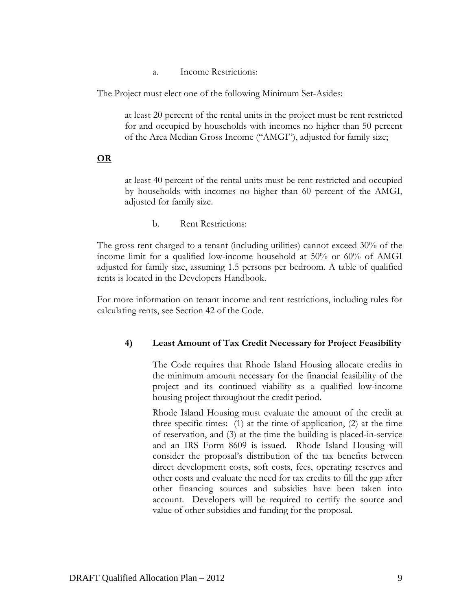a. Income Restrictions:

The Project must elect one of the following Minimum Set-Asides:

at least 20 percent of the rental units in the project must be rent restricted for and occupied by households with incomes no higher than 50 percent of the Area Median Gross Income ("AMGI"), adjusted for family size;

#### **OR**

at least 40 percent of the rental units must be rent restricted and occupied by households with incomes no higher than 60 percent of the AMGI, adjusted for family size.

b. Rent Restrictions:

The gross rent charged to a tenant (including utilities) cannot exceed 30% of the income limit for a qualified low-income household at 50% or 60% of AMGI adjusted for family size, assuming 1.5 persons per bedroom. A table of qualified rents is located in the Developers Handbook.

For more information on tenant income and rent restrictions, including rules for calculating rents, see Section 42 of the Code.

### **4) Least Amount of Tax Credit Necessary for Project Feasibility**

 The Code requires that Rhode Island Housing allocate credits in the minimum amount necessary for the financial feasibility of the project and its continued viability as a qualified low-income housing project throughout the credit period.

 Rhode Island Housing must evaluate the amount of the credit at three specific times: (1) at the time of application, (2) at the time of reservation, and (3) at the time the building is placed-in-service and an IRS Form 8609 is issued. Rhode Island Housing will consider the proposal's distribution of the tax benefits between direct development costs, soft costs, fees, operating reserves and other costs and evaluate the need for tax credits to fill the gap after other financing sources and subsidies have been taken into account. Developers will be required to certify the source and value of other subsidies and funding for the proposal.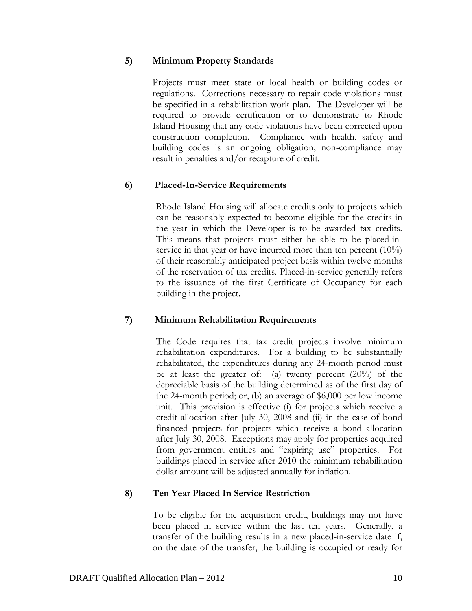#### **5) Minimum Property Standards**

Projects must meet state or local health or building codes or regulations. Corrections necessary to repair code violations must be specified in a rehabilitation work plan. The Developer will be required to provide certification or to demonstrate to Rhode Island Housing that any code violations have been corrected upon construction completion. Compliance with health, safety and building codes is an ongoing obligation; non-compliance may result in penalties and/or recapture of credit.

#### **6) Placed-In-Service Requirements**

Rhode Island Housing will allocate credits only to projects which can be reasonably expected to become eligible for the credits in the year in which the Developer is to be awarded tax credits. This means that projects must either be able to be placed-inservice in that year or have incurred more than ten percent (10%) of their reasonably anticipated project basis within twelve months of the reservation of tax credits. Placed-in-service generally refers to the issuance of the first Certificate of Occupancy for each building in the project.

### **7) Minimum Rehabilitation Requirements**

The Code requires that tax credit projects involve minimum rehabilitation expenditures. For a building to be substantially rehabilitated, the expenditures during any 24-month period must be at least the greater of: (a) twenty percent (20%) of the depreciable basis of the building determined as of the first day of the 24-month period; or, (b) an average of \$6,000 per low income unit. This provision is effective (i) for projects which receive a credit allocation after July 30, 2008 and (ii) in the case of bond financed projects for projects which receive a bond allocation after July 30, 2008. Exceptions may apply for properties acquired from government entities and "expiring use" properties. For buildings placed in service after 2010 the minimum rehabilitation dollar amount will be adjusted annually for inflation.

### **8) Ten Year Placed In Service Restriction**

To be eligible for the acquisition credit, buildings may not have been placed in service within the last ten years. Generally, a transfer of the building results in a new placed-in-service date if, on the date of the transfer, the building is occupied or ready for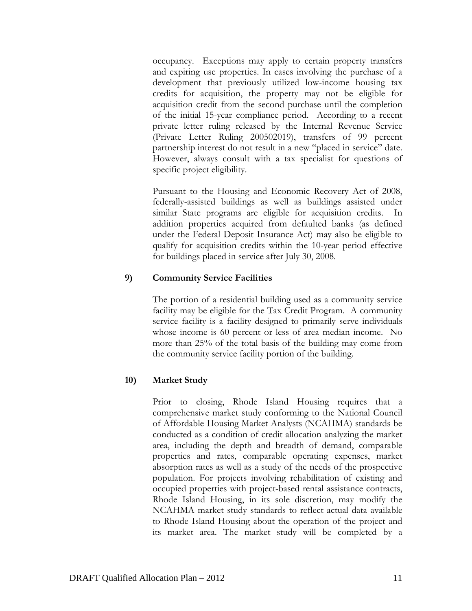occupancy. Exceptions may apply to certain property transfers and expiring use properties. In cases involving the purchase of a development that previously utilized low-income housing tax credits for acquisition, the property may not be eligible for acquisition credit from the second purchase until the completion of the initial 15-year compliance period. According to a recent private letter ruling released by the Internal Revenue Service (Private Letter Ruling 200502019), transfers of 99 percent partnership interest do not result in a new "placed in service" date. However, always consult with a tax specialist for questions of specific project eligibility.

Pursuant to the Housing and Economic Recovery Act of 2008, federally-assisted buildings as well as buildings assisted under similar State programs are eligible for acquisition credits. In addition properties acquired from defaulted banks (as defined under the Federal Deposit Insurance Act) may also be eligible to qualify for acquisition credits within the 10-year period effective for buildings placed in service after July 30, 2008.

### **9) Community Service Facilities**

The portion of a residential building used as a community service facility may be eligible for the Tax Credit Program. A community service facility is a facility designed to primarily serve individuals whose income is 60 percent or less of area median income. No more than 25% of the total basis of the building may come from the community service facility portion of the building.

### **10) Market Study**

Prior to closing, Rhode Island Housing requires that a comprehensive market study conforming to the National Council of Affordable Housing Market Analysts (NCAHMA) standards be conducted as a condition of credit allocation analyzing the market area, including the depth and breadth of demand, comparable properties and rates, comparable operating expenses, market absorption rates as well as a study of the needs of the prospective population. For projects involving rehabilitation of existing and occupied properties with project-based rental assistance contracts, Rhode Island Housing, in its sole discretion, may modify the NCAHMA market study standards to reflect actual data available to Rhode Island Housing about the operation of the project and its market area. The market study will be completed by a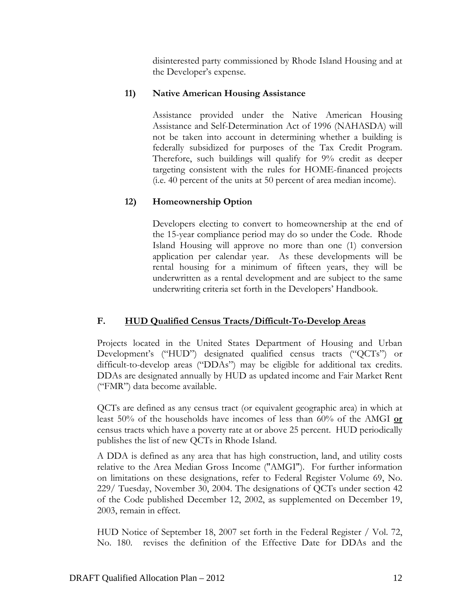disinterested party commissioned by Rhode Island Housing and at the Developer's expense.

# **11) Native American Housing Assistance**

Assistance provided under the Native American Housing Assistance and Self-Determination Act of 1996 (NAHASDA) will not be taken into account in determining whether a building is federally subsidized for purposes of the Tax Credit Program. Therefore, such buildings will qualify for 9% credit as deeper targeting consistent with the rules for HOME-financed projects (i.e. 40 percent of the units at 50 percent of area median income).

# **12) Homeownership Option**

Developers electing to convert to homeownership at the end of the 15-year compliance period may do so under the Code. Rhode Island Housing will approve no more than one (1) conversion application per calendar year. As these developments will be rental housing for a minimum of fifteen years, they will be underwritten as a rental development and are subject to the same underwriting criteria set forth in the Developers' Handbook.

# **F. HUD Qualified Census Tracts/Difficult-To-Develop Areas**

Projects located in the United States Department of Housing and Urban Development's ("HUD") designated qualified census tracts ("QCTs") or difficult-to-develop areas ("DDAs") may be eligible for additional tax credits. DDAs are designated annually by HUD as updated income and Fair Market Rent ("FMR") data become available.

QCTs are defined as any census tract (or equivalent geographic area) in which at least 50% of the households have incomes of less than 60% of the AMGI **or** census tracts which have a poverty rate at or above 25 percent. HUD periodically publishes the list of new QCTs in Rhode Island.

A DDA is defined as any area that has high construction, land, and utility costs relative to the Area Median Gross Income ("AMGI"). For further information on limitations on these designations, refer to Federal Register Volume 69, No. 229/ Tuesday, November 30, 2004. The designations of QCTs under section 42 of the Code published December 12, 2002, as supplemented on December 19, 2003, remain in effect.

HUD Notice of September 18, 2007 set forth in the Federal Register / Vol. 72, No. 180. revises the definition of the Effective Date for DDAs and the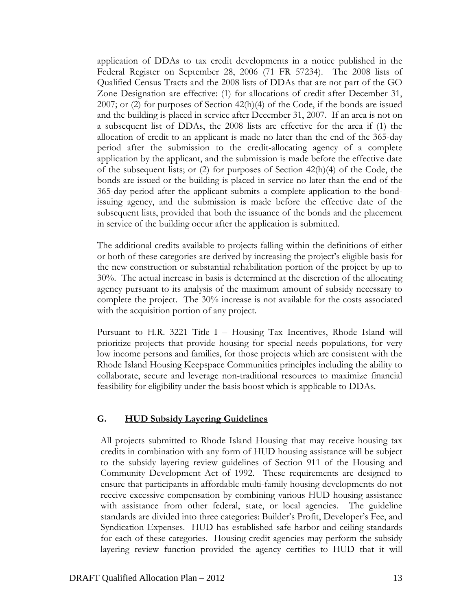application of DDAs to tax credit developments in a notice published in the Federal Register on September 28, 2006 (71 FR 57234). The 2008 lists of Qualified Census Tracts and the 2008 lists of DDAs that are not part of the GO Zone Designation are effective: (1) for allocations of credit after December 31, 2007; or (2) for purposes of Section  $42(h)(4)$  of the Code, if the bonds are issued and the building is placed in service after December 31, 2007. If an area is not on a subsequent list of DDAs, the 2008 lists are effective for the area if (1) the allocation of credit to an applicant is made no later than the end of the 365-day period after the submission to the credit-allocating agency of a complete application by the applicant, and the submission is made before the effective date of the subsequent lists; or (2) for purposes of Section 42(h)(4) of the Code, the bonds are issued or the building is placed in service no later than the end of the 365-day period after the applicant submits a complete application to the bondissuing agency, and the submission is made before the effective date of the subsequent lists, provided that both the issuance of the bonds and the placement in service of the building occur after the application is submitted.

The additional credits available to projects falling within the definitions of either or both of these categories are derived by increasing the project's eligible basis for the new construction or substantial rehabilitation portion of the project by up to 30%. The actual increase in basis is determined at the discretion of the allocating agency pursuant to its analysis of the maximum amount of subsidy necessary to complete the project. The 30% increase is not available for the costs associated with the acquisition portion of any project.

Pursuant to H.R. 3221 Title I – Housing Tax Incentives, Rhode Island will prioritize projects that provide housing for special needs populations, for very low income persons and families, for those projects which are consistent with the Rhode Island Housing Keepspace Communities principles including the ability to collaborate, secure and leverage non-traditional resources to maximize financial feasibility for eligibility under the basis boost which is applicable to DDAs.

#### **G. HUD Subsidy Layering Guidelines**

All projects submitted to Rhode Island Housing that may receive housing tax credits in combination with any form of HUD housing assistance will be subject to the subsidy layering review guidelines of Section 911 of the Housing and Community Development Act of 1992. These requirements are designed to ensure that participants in affordable multi-family housing developments do not receive excessive compensation by combining various HUD housing assistance with assistance from other federal, state, or local agencies. The guideline standards are divided into three categories: Builder's Profit, Developer's Fee, and Syndication Expenses. HUD has established safe harbor and ceiling standards for each of these categories. Housing credit agencies may perform the subsidy layering review function provided the agency certifies to HUD that it will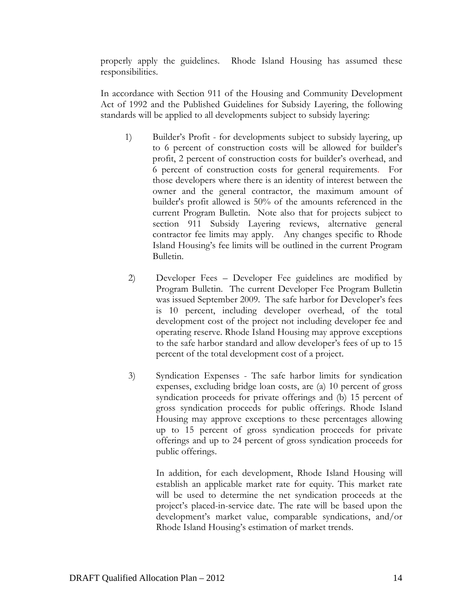properly apply the guidelines. Rhode Island Housing has assumed these responsibilities.

In accordance with Section 911 of the Housing and Community Development Act of 1992 and the Published Guidelines for Subsidy Layering, the following standards will be applied to all developments subject to subsidy layering:

- 1) Builder's Profit for developments subject to subsidy layering, up to 6 percent of construction costs will be allowed for builder's profit, 2 percent of construction costs for builder's overhead, and 6 percent of construction costs for general requirements. For those developers where there is an identity of interest between the owner and the general contractor, the maximum amount of builder's profit allowed is 50% of the amounts referenced in the current Program Bulletin. Note also that for projects subject to section 911 Subsidy Layering reviews, alternative general contractor fee limits may apply. Any changes specific to Rhode Island Housing's fee limits will be outlined in the current Program Bulletin.
- 2) Developer Fees Developer Fee guidelines are modified by Program Bulletin. The current Developer Fee Program Bulletin was issued September 2009. The safe harbor for Developer's fees is 10 percent, including developer overhead, of the total development cost of the project not including developer fee and operating reserve. Rhode Island Housing may approve exceptions to the safe harbor standard and allow developer's fees of up to 15 percent of the total development cost of a project.
- 3) Syndication Expenses The safe harbor limits for syndication expenses, excluding bridge loan costs, are (a) 10 percent of gross syndication proceeds for private offerings and (b) 15 percent of gross syndication proceeds for public offerings. Rhode Island Housing may approve exceptions to these percentages allowing up to 15 percent of gross syndication proceeds for private offerings and up to 24 percent of gross syndication proceeds for public offerings.

 In addition, for each development, Rhode Island Housing will establish an applicable market rate for equity. This market rate will be used to determine the net syndication proceeds at the project's placed-in-service date. The rate will be based upon the development's market value, comparable syndications, and/or Rhode Island Housing's estimation of market trends.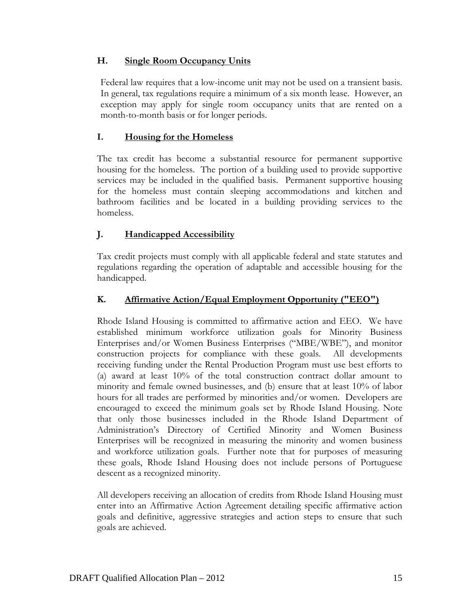### **H. Single Room Occupancy Units**

Federal law requires that a low-income unit may not be used on a transient basis. In general, tax regulations require a minimum of a six month lease. However, an exception may apply for single room occupancy units that are rented on a month-to-month basis or for longer periods.

## **I. Housing for the Homeless**

The tax credit has become a substantial resource for permanent supportive housing for the homeless. The portion of a building used to provide supportive services may be included in the qualified basis. Permanent supportive housing for the homeless must contain sleeping accommodations and kitchen and bathroom facilities and be located in a building providing services to the homeless.

# **J. Handicapped Accessibility**

Tax credit projects must comply with all applicable federal and state statutes and regulations regarding the operation of adaptable and accessible housing for the handicapped.

### **K. Affirmative Action/Equal Employment Opportunity ("EEO")**

Rhode Island Housing is committed to affirmative action and EEO. We have established minimum workforce utilization goals for Minority Business Enterprises and/or Women Business Enterprises ("MBE/WBE"), and monitor construction projects for compliance with these goals. All developments receiving funding under the Rental Production Program must use best efforts to (a) award at least 10% of the total construction contract dollar amount to minority and female owned businesses, and (b) ensure that at least 10% of labor hours for all trades are performed by minorities and/or women. Developers are encouraged to exceed the minimum goals set by Rhode Island Housing. Note that only those businesses included in the Rhode Island Department of Administration's Directory of Certified Minority and Women Business Enterprises will be recognized in measuring the minority and women business and workforce utilization goals. Further note that for purposes of measuring these goals, Rhode Island Housing does not include persons of Portuguese descent as a recognized minority.

All developers receiving an allocation of credits from Rhode Island Housing must enter into an Affirmative Action Agreement detailing specific affirmative action goals and definitive, aggressive strategies and action steps to ensure that such goals are achieved.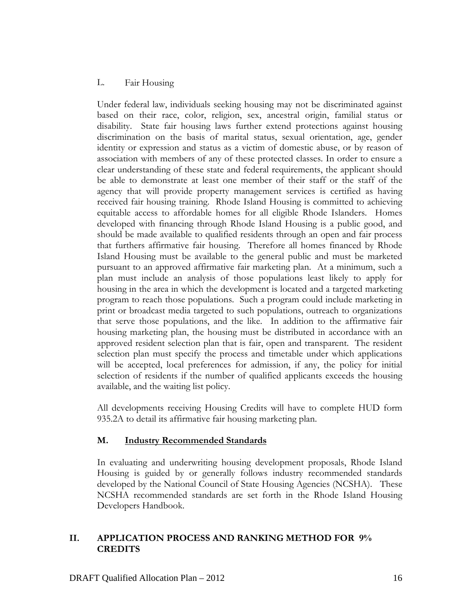#### L. Fair Housing

Under federal law, individuals seeking housing may not be discriminated against based on their race, color, religion, sex, ancestral origin, familial status or disability. State fair housing laws further extend protections against housing discrimination on the basis of marital status, sexual orientation, age, gender identity or expression and status as a victim of domestic abuse, or by reason of association with members of any of these protected classes. In order to ensure a clear understanding of these state and federal requirements, the applicant should be able to demonstrate at least one member of their staff or the staff of the agency that will provide property management services is certified as having received fair housing training. Rhode Island Housing is committed to achieving equitable access to affordable homes for all eligible Rhode Islanders. Homes developed with financing through Rhode Island Housing is a public good, and should be made available to qualified residents through an open and fair process that furthers affirmative fair housing. Therefore all homes financed by Rhode Island Housing must be available to the general public and must be marketed pursuant to an approved affirmative fair marketing plan. At a minimum, such a plan must include an analysis of those populations least likely to apply for housing in the area in which the development is located and a targeted marketing program to reach those populations. Such a program could include marketing in print or broadcast media targeted to such populations, outreach to organizations that serve those populations, and the like. In addition to the affirmative fair housing marketing plan, the housing must be distributed in accordance with an approved resident selection plan that is fair, open and transparent. The resident selection plan must specify the process and timetable under which applications will be accepted, local preferences for admission, if any, the policy for initial selection of residents if the number of qualified applicants exceeds the housing available, and the waiting list policy.

All developments receiving Housing Credits will have to complete HUD form 935.2A to detail its affirmative fair housing marketing plan.

#### **M. Industry Recommended Standards**

In evaluating and underwriting housing development proposals, Rhode Island Housing is guided by or generally follows industry recommended standards developed by the National Council of State Housing Agencies (NCSHA). These NCSHA recommended standards are set forth in the Rhode Island Housing Developers Handbook.

### **II. APPLICATION PROCESS AND RANKING METHOD FOR 9% CREDITS**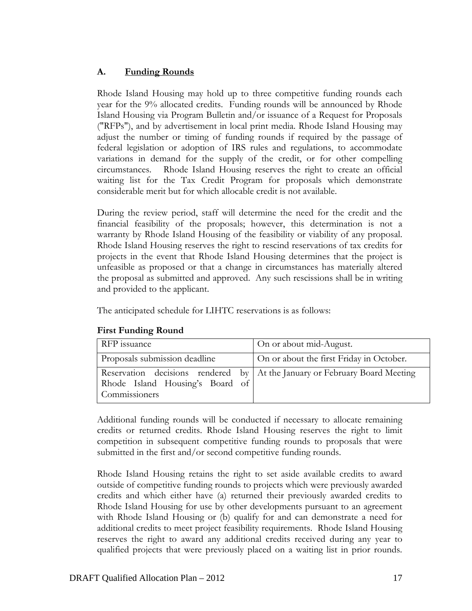## **A. Funding Rounds**

Rhode Island Housing may hold up to three competitive funding rounds each year for the 9% allocated credits. Funding rounds will be announced by Rhode Island Housing via Program Bulletin and/or issuance of a Request for Proposals ("RFPs"), and by advertisement in local print media. Rhode Island Housing may adjust the number or timing of funding rounds if required by the passage of federal legislation or adoption of IRS rules and regulations, to accommodate variations in demand for the supply of the credit, or for other compelling circumstances. Rhode Island Housing reserves the right to create an official waiting list for the Tax Credit Program for proposals which demonstrate considerable merit but for which allocable credit is not available.

During the review period, staff will determine the need for the credit and the financial feasibility of the proposals; however, this determination is not a warranty by Rhode Island Housing of the feasibility or viability of any proposal. Rhode Island Housing reserves the right to rescind reservations of tax credits for projects in the event that Rhode Island Housing determines that the project is unfeasible as proposed or that a change in circumstances has materially altered the proposal as submitted and approved. Any such rescissions shall be in writing and provided to the applicant.

The anticipated schedule for LIHTC reservations is as follows:

| <b>RFP</b> issuance                              | On or about mid-August.                                                    |
|--------------------------------------------------|----------------------------------------------------------------------------|
| Proposals submission deadline                    | On or about the first Friday in October.                                   |
| Rhode Island Housing's Board of<br>Commissioners | Reservation decisions rendered by At the January or February Board Meeting |

#### **First Funding Round**

Additional funding rounds will be conducted if necessary to allocate remaining credits or returned credits. Rhode Island Housing reserves the right to limit competition in subsequent competitive funding rounds to proposals that were submitted in the first and/or second competitive funding rounds.

Rhode Island Housing retains the right to set aside available credits to award outside of competitive funding rounds to projects which were previously awarded credits and which either have (a) returned their previously awarded credits to Rhode Island Housing for use by other developments pursuant to an agreement with Rhode Island Housing or (b) qualify for and can demonstrate a need for additional credits to meet project feasibility requirements. Rhode Island Housing reserves the right to award any additional credits received during any year to qualified projects that were previously placed on a waiting list in prior rounds.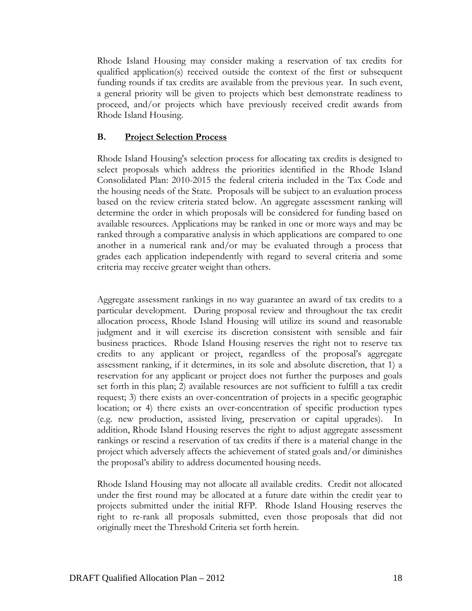Rhode Island Housing may consider making a reservation of tax credits for qualified application(s) received outside the context of the first or subsequent funding rounds if tax credits are available from the previous year. In such event, a general priority will be given to projects which best demonstrate readiness to proceed, and/or projects which have previously received credit awards from Rhode Island Housing.

#### **B. Project Selection Process**

Rhode Island Housing's selection process for allocating tax credits is designed to select proposals which address the priorities identified in the Rhode Island Consolidated Plan: 2010-2015 the federal criteria included in the Tax Code and the housing needs of the State. Proposals will be subject to an evaluation process based on the review criteria stated below. An aggregate assessment ranking will determine the order in which proposals will be considered for funding based on available resources. Applications may be ranked in one or more ways and may be ranked through a comparative analysis in which applications are compared to one another in a numerical rank and/or may be evaluated through a process that grades each application independently with regard to several criteria and some criteria may receive greater weight than others.

Aggregate assessment rankings in no way guarantee an award of tax credits to a particular development. During proposal review and throughout the tax credit allocation process, Rhode Island Housing will utilize its sound and reasonable judgment and it will exercise its discretion consistent with sensible and fair business practices. Rhode Island Housing reserves the right not to reserve tax credits to any applicant or project, regardless of the proposal's aggregate assessment ranking, if it determines, in its sole and absolute discretion, that 1) a reservation for any applicant or project does not further the purposes and goals set forth in this plan; 2) available resources are not sufficient to fulfill a tax credit request; 3) there exists an over-concentration of projects in a specific geographic location; or 4) there exists an over-concentration of specific production types (e.g. new production, assisted living, preservation or capital upgrades). In addition, Rhode Island Housing reserves the right to adjust aggregate assessment rankings or rescind a reservation of tax credits if there is a material change in the project which adversely affects the achievement of stated goals and/or diminishes the proposal's ability to address documented housing needs.

Rhode Island Housing may not allocate all available credits. Credit not allocated under the first round may be allocated at a future date within the credit year to projects submitted under the initial RFP. Rhode Island Housing reserves the right to re-rank all proposals submitted, even those proposals that did not originally meet the Threshold Criteria set forth herein.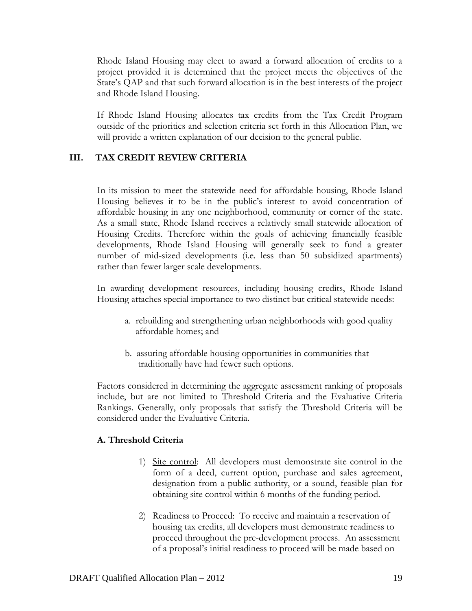Rhode Island Housing may elect to award a forward allocation of credits to a project provided it is determined that the project meets the objectives of the State's QAP and that such forward allocation is in the best interests of the project and Rhode Island Housing.

If Rhode Island Housing allocates tax credits from the Tax Credit Program outside of the priorities and selection criteria set forth in this Allocation Plan, we will provide a written explanation of our decision to the general public.

### **III. TAX CREDIT REVIEW CRITERIA**

In its mission to meet the statewide need for affordable housing, Rhode Island Housing believes it to be in the public's interest to avoid concentration of affordable housing in any one neighborhood, community or corner of the state. As a small state, Rhode Island receives a relatively small statewide allocation of Housing Credits. Therefore within the goals of achieving financially feasible developments, Rhode Island Housing will generally seek to fund a greater number of mid-sized developments (i.e. less than 50 subsidized apartments) rather than fewer larger scale developments.

In awarding development resources, including housing credits, Rhode Island Housing attaches special importance to two distinct but critical statewide needs:

- a. rebuilding and strengthening urban neighborhoods with good quality affordable homes; and
- b. assuring affordable housing opportunities in communities that traditionally have had fewer such options.

Factors considered in determining the aggregate assessment ranking of proposals include, but are not limited to Threshold Criteria and the Evaluative Criteria Rankings. Generally, only proposals that satisfy the Threshold Criteria will be considered under the Evaluative Criteria.

#### **A. Threshold Criteria**

- 1) Site control: All developers must demonstrate site control in the form of a deed, current option, purchase and sales agreement, designation from a public authority, or a sound, feasible plan for obtaining site control within 6 months of the funding period.
- 2) Readiness to Proceed: To receive and maintain a reservation of housing tax credits, all developers must demonstrate readiness to proceed throughout the pre-development process. An assessment of a proposal's initial readiness to proceed will be made based on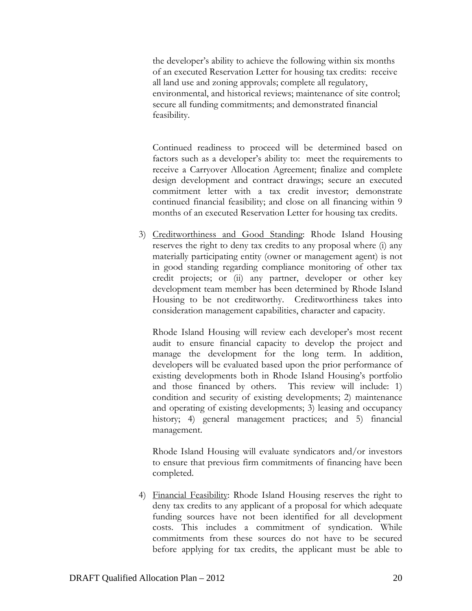the developer's ability to achieve the following within six months of an executed Reservation Letter for housing tax credits: receive all land use and zoning approvals; complete all regulatory, environmental, and historical reviews; maintenance of site control; secure all funding commitments; and demonstrated financial feasibility.

Continued readiness to proceed will be determined based on factors such as a developer's ability to: meet the requirements to receive a Carryover Allocation Agreement; finalize and complete design development and contract drawings; secure an executed commitment letter with a tax credit investor; demonstrate continued financial feasibility; and close on all financing within 9 months of an executed Reservation Letter for housing tax credits.

3) Creditworthiness and Good Standing: Rhode Island Housing reserves the right to deny tax credits to any proposal where (i) any materially participating entity (owner or management agent) is not in good standing regarding compliance monitoring of other tax credit projects; or (ii) any partner, developer or other key development team member has been determined by Rhode Island Housing to be not creditworthy. Creditworthiness takes into consideration management capabilities, character and capacity.

Rhode Island Housing will review each developer's most recent audit to ensure financial capacity to develop the project and manage the development for the long term. In addition, developers will be evaluated based upon the prior performance of existing developments both in Rhode Island Housing's portfolio and those financed by others. This review will include: 1) condition and security of existing developments; 2) maintenance and operating of existing developments; 3) leasing and occupancy history; 4) general management practices; and 5) financial management.

Rhode Island Housing will evaluate syndicators and/or investors to ensure that previous firm commitments of financing have been completed.

4) Financial Feasibility: Rhode Island Housing reserves the right to deny tax credits to any applicant of a proposal for which adequate funding sources have not been identified for all development costs. This includes a commitment of syndication. While commitments from these sources do not have to be secured before applying for tax credits, the applicant must be able to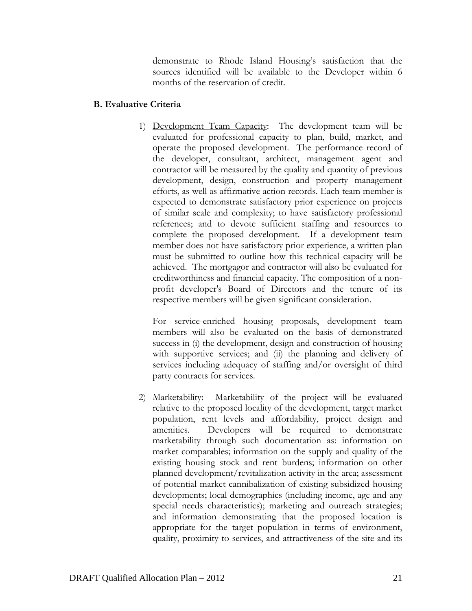demonstrate to Rhode Island Housing's satisfaction that the sources identified will be available to the Developer within 6 months of the reservation of credit.

### **B. Evaluative Criteria**

1) Development Team Capacity: The development team will be evaluated for professional capacity to plan, build, market, and operate the proposed development. The performance record of the developer, consultant, architect, management agent and contractor will be measured by the quality and quantity of previous development, design, construction and property management efforts, as well as affirmative action records. Each team member is expected to demonstrate satisfactory prior experience on projects of similar scale and complexity; to have satisfactory professional references; and to devote sufficient staffing and resources to complete the proposed development. If a development team member does not have satisfactory prior experience, a written plan must be submitted to outline how this technical capacity will be achieved. The mortgagor and contractor will also be evaluated for creditworthiness and financial capacity. The composition of a nonprofit developer's Board of Directors and the tenure of its respective members will be given significant consideration.

For service-enriched housing proposals, development team members will also be evaluated on the basis of demonstrated success in (i) the development, design and construction of housing with supportive services; and (ii) the planning and delivery of services including adequacy of staffing and/or oversight of third party contracts for services.

2) Marketability: Marketability of the project will be evaluated relative to the proposed locality of the development, target market population, rent levels and affordability, project design and amenities. Developers will be required to demonstrate marketability through such documentation as: information on market comparables; information on the supply and quality of the existing housing stock and rent burdens; information on other planned development/revitalization activity in the area; assessment of potential market cannibalization of existing subsidized housing developments; local demographics (including income, age and any special needs characteristics); marketing and outreach strategies; and information demonstrating that the proposed location is appropriate for the target population in terms of environment, quality, proximity to services, and attractiveness of the site and its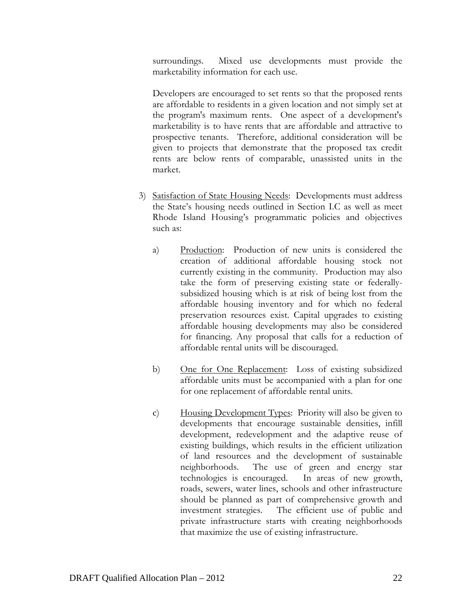surroundings. Mixed use developments must provide the marketability information for each use.

Developers are encouraged to set rents so that the proposed rents are affordable to residents in a given location and not simply set at the program's maximum rents. One aspect of a development's marketability is to have rents that are affordable and attractive to prospective tenants. Therefore, additional consideration will be given to projects that demonstrate that the proposed tax credit rents are below rents of comparable, unassisted units in the market.

- 3) Satisfaction of State Housing Needs: Developments must address the State's housing needs outlined in Section I.C as well as meet Rhode Island Housing's programmatic policies and objectives such as:
	- a) Production: Production of new units is considered the creation of additional affordable housing stock not currently existing in the community. Production may also take the form of preserving existing state or federallysubsidized housing which is at risk of being lost from the affordable housing inventory and for which no federal preservation resources exist. Capital upgrades to existing affordable housing developments may also be considered for financing. Any proposal that calls for a reduction of affordable rental units will be discouraged.
	- b) One for One Replacement: Loss of existing subsidized affordable units must be accompanied with a plan for one for one replacement of affordable rental units.
	- c) Housing Development Types: Priority will also be given to developments that encourage sustainable densities, infill development, redevelopment and the adaptive reuse of existing buildings, which results in the efficient utilization of land resources and the development of sustainable neighborhoods. The use of green and energy star technologies is encouraged. In areas of new growth, roads, sewers, water lines, schools and other infrastructure should be planned as part of comprehensive growth and investment strategies. The efficient use of public and private infrastructure starts with creating neighborhoods that maximize the use of existing infrastructure.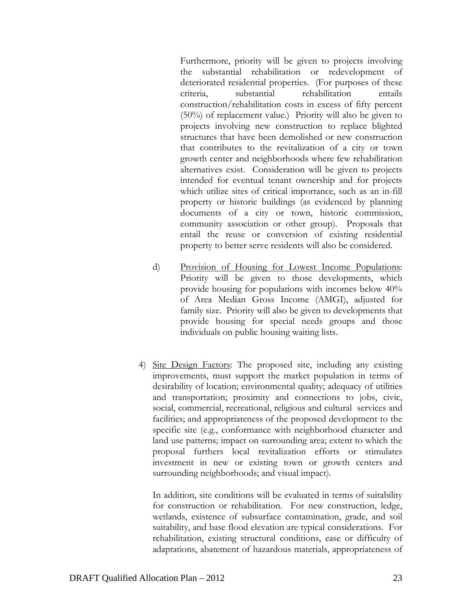Furthermore, priority will be given to projects involving the substantial rehabilitation or redevelopment of deteriorated residential properties. (For purposes of these criteria, substantial rehabilitation entails construction/rehabilitation costs in excess of fifty percent (50%) of replacement value.) Priority will also be given to projects involving new construction to replace blighted structures that have been demolished or new construction that contributes to the revitalization of a city or town growth center and neighborhoods where few rehabilitation alternatives exist. Consideration will be given to projects intended for eventual tenant ownership and for projects which utilize sites of critical importance, such as an in-fill property or historic buildings (as evidenced by planning documents of a city or town, historic commission, community association or other group). Proposals that entail the reuse or conversion of existing residential property to better serve residents will also be considered.

- d) Provision of Housing for Lowest Income Populations: Priority will be given to those developments, which provide housing for populations with incomes below 40% of Area Median Gross Income (AMGI), adjusted for family size. Priority will also be given to developments that provide housing for special needs groups and those individuals on public housing waiting lists.
- 4) Site Design Factors: The proposed site, including any existing improvements, must support the market population in terms of desirability of location; environmental quality; adequacy of utilities and transportation; proximity and connections to jobs, civic, social, commercial, recreational, religious and cultural services and facilities; and appropriateness of the proposed development to the specific site (e.g., conformance with neighborhood character and land use patterns; impact on surrounding area; extent to which the proposal furthers local revitalization efforts or stimulates investment in new or existing town or growth centers and surrounding neighborhoods; and visual impact).

 In addition, site conditions will be evaluated in terms of suitability for construction or rehabilitation. For new construction, ledge, wetlands, existence of subsurface contamination, grade, and soil suitability, and base flood elevation are typical considerations. For rehabilitation, existing structural conditions, ease or difficulty of adaptations, abatement of hazardous materials, appropriateness of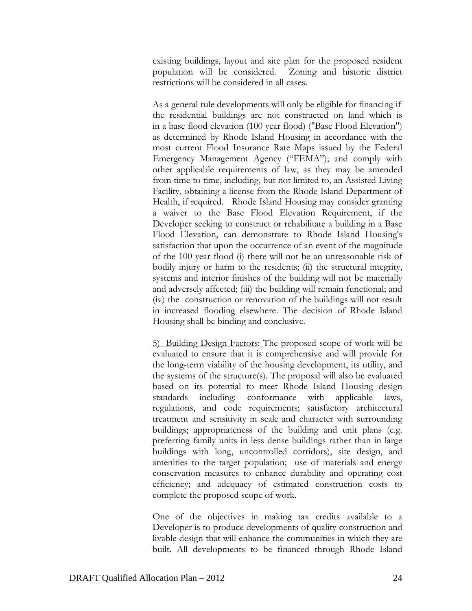existing buildings, layout and site plan for the proposed resident population will be considered. Zoning and historic district restrictions will be considered in all cases.

As a general rule developments will only be eligible for financing if the residential buildings are not constructed on land which is in a base flood elevation (100 year flood) ("Base Flood Elevation") as determined by Rhode Island Housing in accordance with the most current Flood Insurance Rate Maps issued by the Federal Emergency Management Agency ("FEMA"); and comply with other applicable requirements of law, as they may be amended from time to time, including, but not limited to, an Assisted Living Facility, obtaining a license from the Rhode Island Department of Health, if required. Rhode Island Housing may consider granting a waiver to the Base Flood Elevation Requirement, if the Developer seeking to construct or rehabilitate a building in a Base Flood Elevation, can demonstrate to Rhode Island Housing's satisfaction that upon the occurrence of an event of the magnitude of the 100 year flood (i) there will not be an unreasonable risk of bodily injury or harm to the residents; (ii) the structural integrity, systems and interior finishes of the building will not be materially and adversely affected; (iii) the building will remain functional; and (iv) the construction or renovation of the buildings will not result in increased flooding elsewhere. The decision of Rhode Island Housing shall be binding and conclusive.

5) Building Design Factors: The proposed scope of work will be evaluated to ensure that it is comprehensive and will provide for the long-term viability of the housing development, its utility, and the systems of the structure(s). The proposal will also be evaluated based on its potential to meet Rhode Island Housing design standards including: conformance with applicable laws, regulations, and code requirements; satisfactory architectural treatment and sensitivity in scale and character with surrounding buildings; appropriateness of the building and unit plans (e.g. preferring family units in less dense buildings rather than in large buildings with long, uncontrolled corridors), site design, and amenities to the target population; use of materials and energy conservation measures to enhance durability and operating cost efficiency; and adequacy of estimated construction costs to complete the proposed scope of work.

One of the objectives in making tax credits available to a Developer is to produce developments of quality construction and livable design that will enhance the communities in which they are built. All developments to be financed through Rhode Island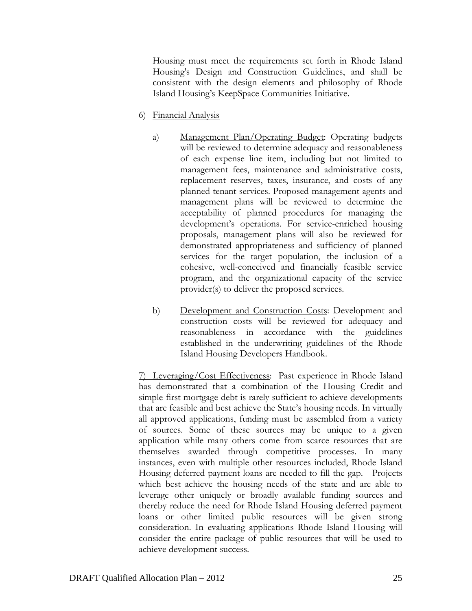Housing must meet the requirements set forth in Rhode Island Housing's Design and Construction Guidelines, and shall be consistent with the design elements and philosophy of Rhode Island Housing's KeepSpace Communities Initiative.

- 6) Financial Analysis
	- a) Management Plan/Operating Budget: Operating budgets will be reviewed to determine adequacy and reasonableness of each expense line item, including but not limited to management fees, maintenance and administrative costs, replacement reserves, taxes, insurance, and costs of any planned tenant services. Proposed management agents and management plans will be reviewed to determine the acceptability of planned procedures for managing the development's operations. For service-enriched housing proposals, management plans will also be reviewed for demonstrated appropriateness and sufficiency of planned services for the target population, the inclusion of a cohesive, well-conceived and financially feasible service program, and the organizational capacity of the service provider(s) to deliver the proposed services.
	- b) Development and Construction Costs: Development and construction costs will be reviewed for adequacy and reasonableness in accordance with the guidelines established in the underwriting guidelines of the Rhode Island Housing Developers Handbook.

7) Leveraging/Cost Effectiveness: Past experience in Rhode Island has demonstrated that a combination of the Housing Credit and simple first mortgage debt is rarely sufficient to achieve developments that are feasible and best achieve the State's housing needs. In virtually all approved applications, funding must be assembled from a variety of sources. Some of these sources may be unique to a given application while many others come from scarce resources that are themselves awarded through competitive processes. In many instances, even with multiple other resources included, Rhode Island Housing deferred payment loans are needed to fill the gap. Projects which best achieve the housing needs of the state and are able to leverage other uniquely or broadly available funding sources and thereby reduce the need for Rhode Island Housing deferred payment loans or other limited public resources will be given strong consideration. In evaluating applications Rhode Island Housing will consider the entire package of public resources that will be used to achieve development success.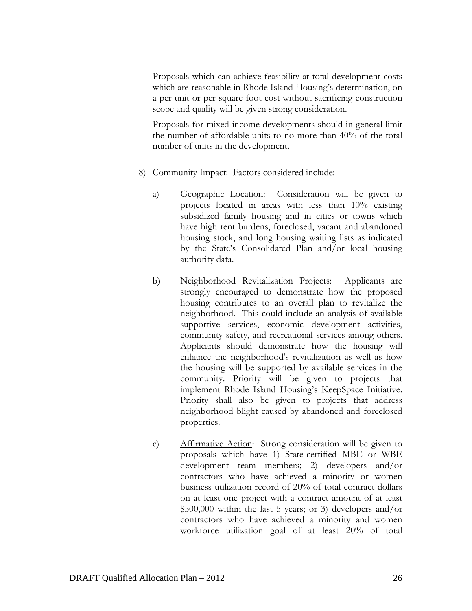Proposals which can achieve feasibility at total development costs which are reasonable in Rhode Island Housing's determination, on a per unit or per square foot cost without sacrificing construction scope and quality will be given strong consideration.

Proposals for mixed income developments should in general limit the number of affordable units to no more than 40% of the total number of units in the development.

- 8) Community Impact: Factors considered include:
	- a) Geographic Location: Consideration will be given to projects located in areas with less than 10% existing subsidized family housing and in cities or towns which have high rent burdens, foreclosed, vacant and abandoned housing stock, and long housing waiting lists as indicated by the State's Consolidated Plan and/or local housing authority data.
	- b) Neighborhood Revitalization Projects: Applicants are strongly encouraged to demonstrate how the proposed housing contributes to an overall plan to revitalize the neighborhood. This could include an analysis of available supportive services, economic development activities, community safety, and recreational services among others. Applicants should demonstrate how the housing will enhance the neighborhood's revitalization as well as how the housing will be supported by available services in the community. Priority will be given to projects that implement Rhode Island Housing's KeepSpace Initiative. Priority shall also be given to projects that address neighborhood blight caused by abandoned and foreclosed properties.
	- c) Affirmative Action: Strong consideration will be given to proposals which have 1) State-certified MBE or WBE development team members; 2) developers and/or contractors who have achieved a minority or women business utilization record of 20% of total contract dollars on at least one project with a contract amount of at least \$500,000 within the last 5 years; or 3) developers and/or contractors who have achieved a minority and women workforce utilization goal of at least 20% of total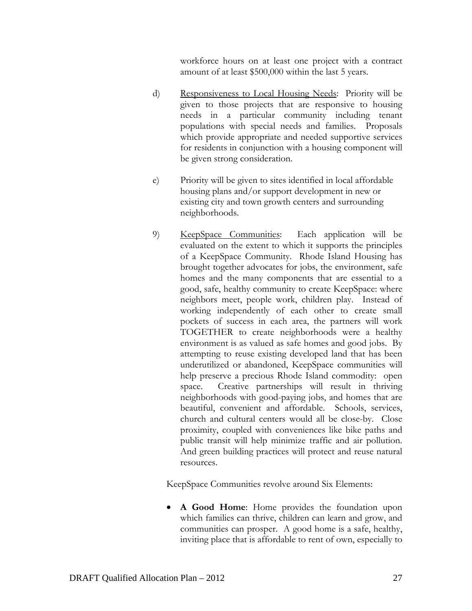workforce hours on at least one project with a contract amount of at least \$500,000 within the last 5 years.

- d) Responsiveness to Local Housing Needs: Priority will be given to those projects that are responsive to housing needs in a particular community including tenant populations with special needs and families. Proposals which provide appropriate and needed supportive services for residents in conjunction with a housing component will be given strong consideration.
- e) Priority will be given to sites identified in local affordable housing plans and/or support development in new or existing city and town growth centers and surrounding neighborhoods.
- 9) KeepSpace Communities: Each application will be evaluated on the extent to which it supports the principles of a KeepSpace Community. Rhode Island Housing has brought together advocates for jobs, the environment, safe homes and the many components that are essential to a good, safe, healthy community to create KeepSpace: where neighbors meet, people work, children play. Instead of working independently of each other to create small pockets of success in each area, the partners will work TOGETHER to create neighborhoods were a healthy environment is as valued as safe homes and good jobs. By attempting to reuse existing developed land that has been underutilized or abandoned, KeepSpace communities will help preserve a precious Rhode Island commodity: open space. Creative partnerships will result in thriving neighborhoods with good-paying jobs, and homes that are beautiful, convenient and affordable. Schools, services, church and cultural centers would all be close-by. Close proximity, coupled with conveniences like bike paths and public transit will help minimize traffic and air pollution. And green building practices will protect and reuse natural resources.

KeepSpace Communities revolve around Six Elements:

 **A Good Home**: Home provides the foundation upon which families can thrive, children can learn and grow, and communities can prosper. A good home is a safe, healthy, inviting place that is affordable to rent of own, especially to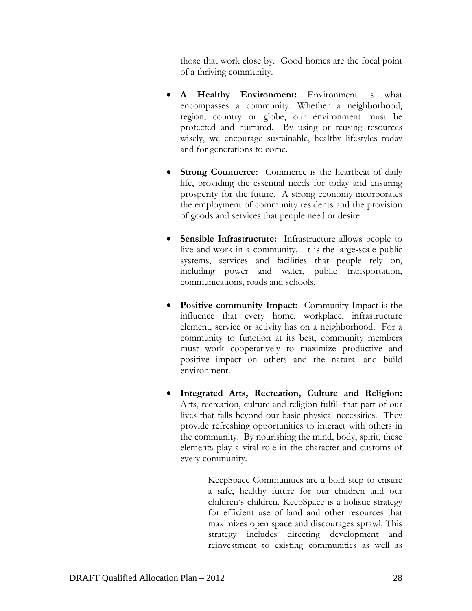those that work close by. Good homes are the focal point of a thriving community.

- **A Healthy Environment:** Environment is what encompasses a community. Whether a neighborhood, region, country or globe, our environment must be protected and nurtured. By using or reusing resources wisely, we encourage sustainable, healthy lifestyles today and for generations to come.
- **Strong Commerce:** Commerce is the heartbeat of daily life, providing the essential needs for today and ensuring prosperity for the future. A strong economy incorporates the employment of community residents and the provision of goods and services that people need or desire.
- **Sensible Infrastructure:** Infrastructure allows people to live and work in a community. It is the large-scale public systems, services and facilities that people rely on, including power and water, public transportation, communications, roads and schools.
- **Positive community Impact:** Community Impact is the influence that every home, workplace, infrastructure element, service or activity has on a neighborhood. For a community to function at its best, community members must work cooperatively to maximize productive and positive impact on others and the natural and build environment.
- **Integrated Arts, Recreation, Culture and Religion:**  Arts, recreation, culture and religion fulfill that part of our lives that falls beyond our basic physical necessities. They provide refreshing opportunities to interact with others in the community. By nourishing the mind, body, spirit, these elements play a vital role in the character and customs of every community.

KeepSpace Communities are a bold step to ensure a safe, healthy future for our children and our children's children. KeepSpace is a holistic strategy for efficient use of land and other resources that maximizes open space and discourages sprawl. This strategy includes directing development and reinvestment to existing communities as well as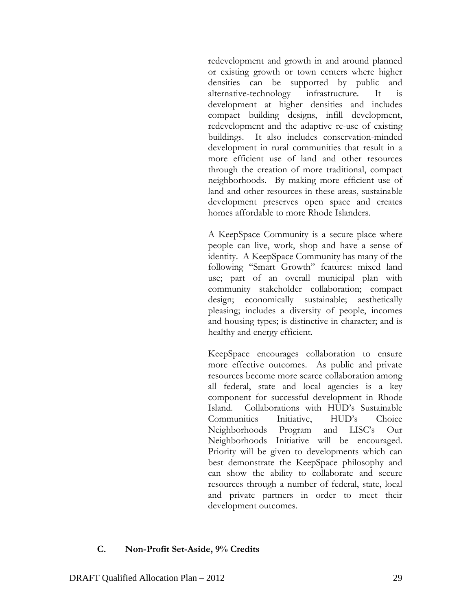redevelopment and growth in and around planned or existing growth or town centers where higher densities can be supported by public and alternative-technology infrastructure. It is development at higher densities and includes compact building designs, infill development, redevelopment and the adaptive re-use of existing buildings. It also includes conservation-minded development in rural communities that result in a more efficient use of land and other resources through the creation of more traditional, compact neighborhoods. By making more efficient use of land and other resources in these areas, sustainable development preserves open space and creates homes affordable to more Rhode Islanders.

A KeepSpace Community is a secure place where people can live, work, shop and have a sense of identity. A KeepSpace Community has many of the following "Smart Growth" features: mixed land use; part of an overall municipal plan with community stakeholder collaboration; compact design; economically sustainable; aesthetically pleasing; includes a diversity of people, incomes and housing types; is distinctive in character; and is healthy and energy efficient.

KeepSpace encourages collaboration to ensure more effective outcomes. As public and private resources become more scarce collaboration among all federal, state and local agencies is a key component for successful development in Rhode Island. Collaborations with HUD's Sustainable Communities Initiative, HUD's Choice Neighborhoods Program and LISC's Our Neighborhoods Initiative will be encouraged. Priority will be given to developments which can best demonstrate the KeepSpace philosophy and can show the ability to collaborate and secure resources through a number of federal, state, local and private partners in order to meet their development outcomes.

#### **C. Non-Profit Set-Aside, 9% Credits**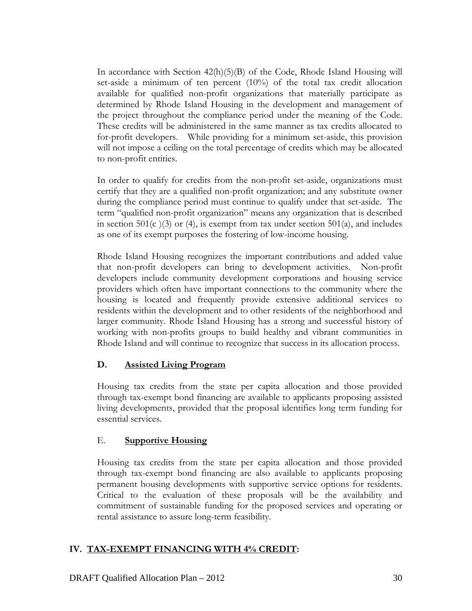In accordance with Section 42(h)(5)(B) of the Code, Rhode Island Housing will set-aside a minimum of ten percent (10%) of the total tax credit allocation available for qualified non-profit organizations that materially participate as determined by Rhode Island Housing in the development and management of the project throughout the compliance period under the meaning of the Code. These credits will be administered in the same manner as tax credits allocated to for-profit developers. While providing for a minimum set-aside, this provision will not impose a ceiling on the total percentage of credits which may be allocated to non-profit entities.

In order to qualify for credits from the non-profit set-aside, organizations must certify that they are a qualified non-profit organization; and any substitute owner during the compliance period must continue to qualify under that set-aside. The term "qualified non-profit organization" means any organization that is described in section 501(c)(3) or (4), is exempt from tax under section 501(a), and includes as one of its exempt purposes the fostering of low-income housing.

Rhode Island Housing recognizes the important contributions and added value that non-profit developers can bring to development activities. Non-profit developers include community development corporations and housing service providers which often have important connections to the community where the housing is located and frequently provide extensive additional services to residents within the development and to other residents of the neighborhood and larger community. Rhode Island Housing has a strong and successful history of working with non-profits groups to build healthy and vibrant communities in Rhode Island and will continue to recognize that success in its allocation process.

### **D. Assisted Living Program**

Housing tax credits from the state per capita allocation and those provided through tax-exempt bond financing are available to applicants proposing assisted living developments, provided that the proposal identifies long term funding for essential services.

### E. **Supportive Housing**

Housing tax credits from the state per capita allocation and those provided through tax-exempt bond financing are also available to applicants proposing permanent housing developments with supportive service options for residents. Critical to the evaluation of these proposals will be the availability and commitment of sustainable funding for the proposed services and operating or rental assistance to assure long-term feasibility.

### **IV. TAX-EXEMPT FINANCING WITH 4% CREDIT:**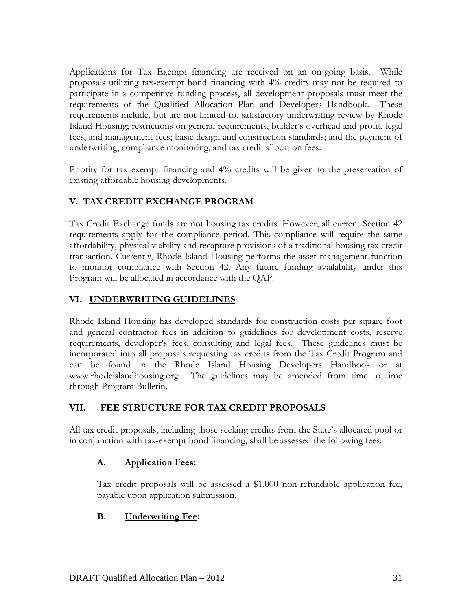Applications for Tax Exempt financing are received on an on-going basis. While proposals utilizing tax-exempt bond financing with 4% credits may not be required to participate in a competitive funding process, all development proposals must meet the requirements of the Qualified Allocation Plan and Developers Handbook. These requirements include, but are not limited to, satisfactory underwriting review by Rhode Island Housing; restrictions on general requirements, builder's overhead and profit, legal fees, and management fees; basic design and construction standards; and the payment of underwriting, compliance monitoring, and tax credit allocation fees.

Priority for tax exempt financing and 4% credits will be given to the preservation of existing affordable housing developments.

# **V. TAX CREDIT EXCHANGE PROGRAM**

Tax Credit Exchange funds are not housing tax credits. However, all current Section 42 requirements apply for the compliance period. This compliance will require the same affordability, physical viability and recapture provisions of a traditional housing tax credit transaction. Currently, Rhode Island Housing performs the asset management function to monitor compliance with Section 42. Any future funding availability under this Program will be allocated in accordance with the QAP.

# **VI. UNDERWRITING GUIDELINES**

Rhode Island Housing has developed standards for construction costs per square foot and general contractor fees in addition to guidelines for development costs, reserve requirements, developer's fees, consulting and legal fees. These guidelines must be incorporated into all proposals requesting tax credits from the Tax Credit Program and can be found in the Rhode Island Housing Developers Handbook or at www.rhodeislandhousing.org. The guidelines may be amended from time to time through Program Bulletin.

# **VII. FEE STRUCTURE FOR TAX CREDIT PROPOSALS**

All tax credit proposals, including those seeking credits from the State's allocated pool or in conjunction with tax-exempt bond financing, shall be assessed the following fees:

# **A. Application Fees:**

Tax credit proposals will be assessed a \$1,000 non-refundable application fee, payable upon application submission.

# **B. Underwriting Fee:**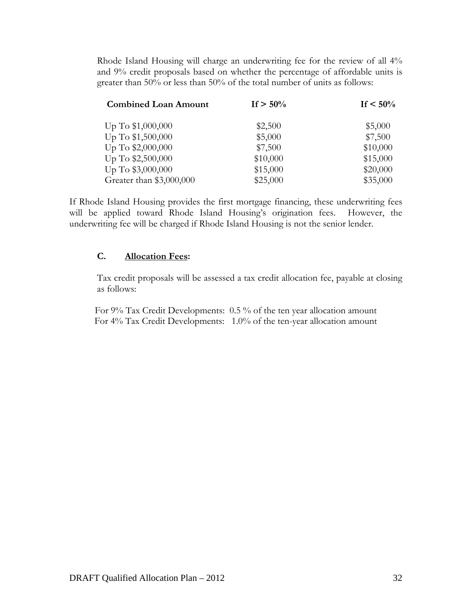Rhode Island Housing will charge an underwriting fee for the review of all 4% and 9% credit proposals based on whether the percentage of affordable units is greater than 50% or less than 50% of the total number of units as follows:

| <b>Combined Loan Amount</b> | If $> 50\%$ | If $< 50\%$ |
|-----------------------------|-------------|-------------|
| Up To $$1,000,000$          | \$2,500     | \$5,000     |
| Up To \$1,500,000           | \$5,000     | \$7,500     |
| Up To \$2,000,000           | \$7,500     | \$10,000    |
| Up To \$2,500,000           | \$10,000    | \$15,000    |
| Up To \$3,000,000           | \$15,000    | \$20,000    |
| Greater than \$3,000,000    | \$25,000    | \$35,000    |

If Rhode Island Housing provides the first mortgage financing, these underwriting fees will be applied toward Rhode Island Housing's origination fees. However, the underwriting fee will be charged if Rhode Island Housing is not the senior lender.

### **C. Allocation Fees:**

Tax credit proposals will be assessed a tax credit allocation fee, payable at closing as follows:

For 9% Tax Credit Developments: 0.5 % of the ten year allocation amount For 4% Tax Credit Developments: 1.0% of the ten-year allocation amount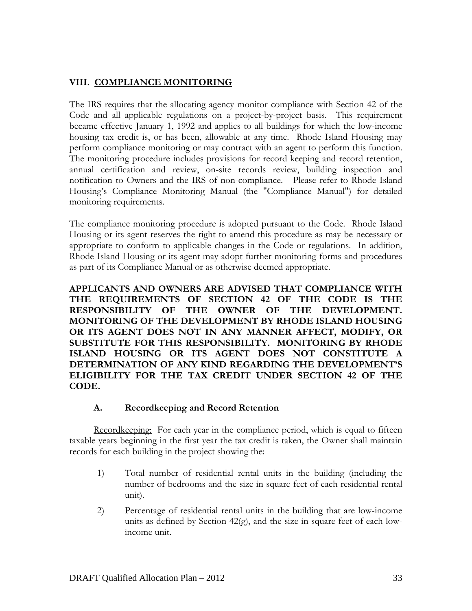## **VIII. COMPLIANCE MONITORING**

The IRS requires that the allocating agency monitor compliance with Section 42 of the Code and all applicable regulations on a project-by-project basis. This requirement became effective January 1, 1992 and applies to all buildings for which the low-income housing tax credit is, or has been, allowable at any time. Rhode Island Housing may perform compliance monitoring or may contract with an agent to perform this function. The monitoring procedure includes provisions for record keeping and record retention, annual certification and review, on-site records review, building inspection and notification to Owners and the IRS of non-compliance. Please refer to Rhode Island Housing's Compliance Monitoring Manual (the "Compliance Manual") for detailed monitoring requirements.

The compliance monitoring procedure is adopted pursuant to the Code. Rhode Island Housing or its agent reserves the right to amend this procedure as may be necessary or appropriate to conform to applicable changes in the Code or regulations. In addition, Rhode Island Housing or its agent may adopt further monitoring forms and procedures as part of its Compliance Manual or as otherwise deemed appropriate.

**APPLICANTS AND OWNERS ARE ADVISED THAT COMPLIANCE WITH THE REQUIREMENTS OF SECTION 42 OF THE CODE IS THE RESPONSIBILITY OF THE OWNER OF THE DEVELOPMENT. MONITORING OF THE DEVELOPMENT BY RHODE ISLAND HOUSING OR ITS AGENT DOES NOT IN ANY MANNER AFFECT, MODIFY, OR SUBSTITUTE FOR THIS RESPONSIBILITY. MONITORING BY RHODE ISLAND HOUSING OR ITS AGENT DOES NOT CONSTITUTE A DETERMINATION OF ANY KIND REGARDING THE DEVELOPMENT'S ELIGIBILITY FOR THE TAX CREDIT UNDER SECTION 42 OF THE CODE.** 

#### **A. Recordkeeping and Record Retention**

Recordkeeping: For each year in the compliance period, which is equal to fifteen taxable years beginning in the first year the tax credit is taken, the Owner shall maintain records for each building in the project showing the:

- 1) Total number of residential rental units in the building (including the number of bedrooms and the size in square feet of each residential rental unit).
- 2) Percentage of residential rental units in the building that are low-income units as defined by Section 42(g), and the size in square feet of each lowincome unit.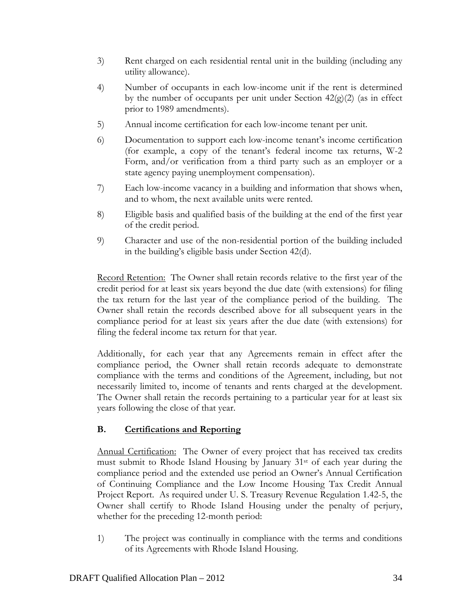- 3) Rent charged on each residential rental unit in the building (including any utility allowance).
- 4) Number of occupants in each low-income unit if the rent is determined by the number of occupants per unit under Section  $42(g)(2)$  (as in effect prior to 1989 amendments).
- 5) Annual income certification for each low-income tenant per unit.
- 6) Documentation to support each low-income tenant's income certification (for example, a copy of the tenant's federal income tax returns, W-2 Form, and/or verification from a third party such as an employer or a state agency paying unemployment compensation).
- 7) Each low-income vacancy in a building and information that shows when, and to whom, the next available units were rented.
- 8) Eligible basis and qualified basis of the building at the end of the first year of the credit period.
- 9) Character and use of the non-residential portion of the building included in the building's eligible basis under Section 42(d).

Record Retention: The Owner shall retain records relative to the first year of the credit period for at least six years beyond the due date (with extensions) for filing the tax return for the last year of the compliance period of the building. The Owner shall retain the records described above for all subsequent years in the compliance period for at least six years after the due date (with extensions) for filing the federal income tax return for that year.

Additionally, for each year that any Agreements remain in effect after the compliance period, the Owner shall retain records adequate to demonstrate compliance with the terms and conditions of the Agreement, including, but not necessarily limited to, income of tenants and rents charged at the development. The Owner shall retain the records pertaining to a particular year for at least six years following the close of that year.

# **B. Certifications and Reporting**

Annual Certification: The Owner of every project that has received tax credits must submit to Rhode Island Housing by January 31st of each year during the compliance period and the extended use period an Owner's Annual Certification of Continuing Compliance and the Low Income Housing Tax Credit Annual Project Report. As required under U. S. Treasury Revenue Regulation 1.42-5, the Owner shall certify to Rhode Island Housing under the penalty of perjury, whether for the preceding 12-month period:

1) The project was continually in compliance with the terms and conditions of its Agreements with Rhode Island Housing.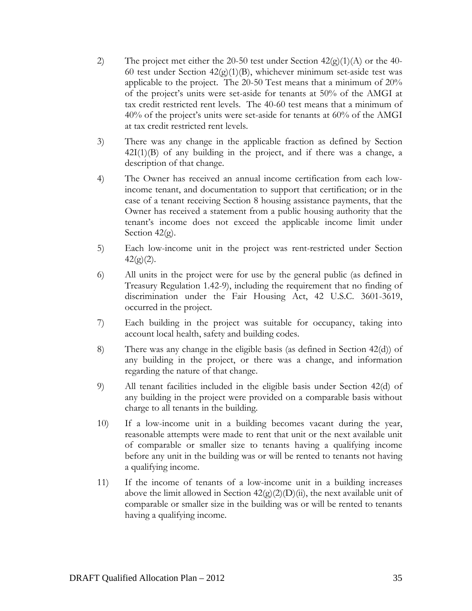- 2) The project met either the 20-50 test under Section  $42\langle g \rangle(1)(A)$  or the 40-60 test under Section  $42(g)(1)(B)$ , whichever minimum set-aside test was applicable to the project. The 20-50 Test means that a minimum of 20% of the project's units were set-aside for tenants at 50% of the AMGI at tax credit restricted rent levels. The 40-60 test means that a minimum of 40% of the project's units were set-aside for tenants at 60% of the AMGI at tax credit restricted rent levels.
- 3) There was any change in the applicable fraction as defined by Section  $42I(1)(B)$  of any building in the project, and if there was a change, a description of that change.
- 4) The Owner has received an annual income certification from each lowincome tenant, and documentation to support that certification; or in the case of a tenant receiving Section 8 housing assistance payments, that the Owner has received a statement from a public housing authority that the tenant's income does not exceed the applicable income limit under Section 42(g).
- 5) Each low-income unit in the project was rent-restricted under Section  $42(g)(2)$ .
- 6) All units in the project were for use by the general public (as defined in Treasury Regulation 1.42-9), including the requirement that no finding of discrimination under the Fair Housing Act, 42 U.S.C. 3601-3619, occurred in the project.
- 7) Each building in the project was suitable for occupancy, taking into account local health, safety and building codes.
- 8) There was any change in the eligible basis (as defined in Section 42(d)) of any building in the project, or there was a change, and information regarding the nature of that change.
- 9) All tenant facilities included in the eligible basis under Section 42(d) of any building in the project were provided on a comparable basis without charge to all tenants in the building.
- 10) If a low-income unit in a building becomes vacant during the year, reasonable attempts were made to rent that unit or the next available unit of comparable or smaller size to tenants having a qualifying income before any unit in the building was or will be rented to tenants not having a qualifying income.
- 11) If the income of tenants of a low-income unit in a building increases above the limit allowed in Section  $42(g)(2)(D)(ii)$ , the next available unit of comparable or smaller size in the building was or will be rented to tenants having a qualifying income.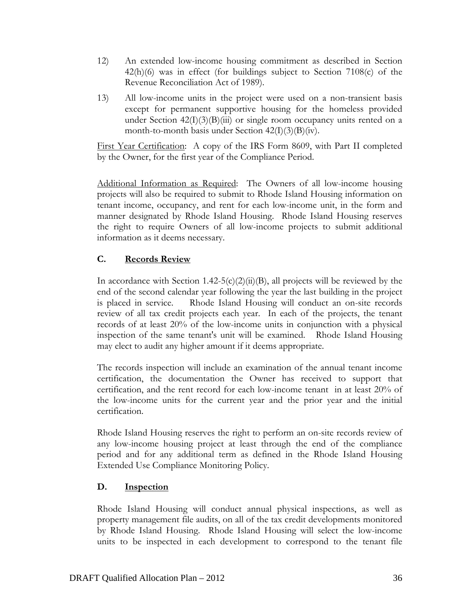- 12) An extended low-income housing commitment as described in Section 42(h)(6) was in effect (for buildings subject to Section 7108(c) of the Revenue Reconciliation Act of 1989).
- 13) All low-income units in the project were used on a non-transient basis except for permanent supportive housing for the homeless provided under Section  $42(I)(3)(B)(iii)$  or single room occupancy units rented on a month-to-month basis under Section  $42(I)(3)(B)(iv)$ .

First Year Certification: A copy of the IRS Form 8609, with Part II completed by the Owner, for the first year of the Compliance Period.

Additional Information as Required: The Owners of all low-income housing projects will also be required to submit to Rhode Island Housing information on tenant income, occupancy, and rent for each low-income unit, in the form and manner designated by Rhode Island Housing. Rhode Island Housing reserves the right to require Owners of all low-income projects to submit additional information as it deems necessary.

# **C. Records Review**

In accordance with Section 1.42-5(c)(2)(ii)(B), all projects will be reviewed by the end of the second calendar year following the year the last building in the project is placed in service. Rhode Island Housing will conduct an on-site records review of all tax credit projects each year. In each of the projects, the tenant records of at least 20% of the low-income units in conjunction with a physical inspection of the same tenant's unit will be examined. Rhode Island Housing may elect to audit any higher amount if it deems appropriate.

The records inspection will include an examination of the annual tenant income certification, the documentation the Owner has received to support that certification, and the rent record for each low-income tenant in at least 20% of the low-income units for the current year and the prior year and the initial certification.

Rhode Island Housing reserves the right to perform an on-site records review of any low-income housing project at least through the end of the compliance period and for any additional term as defined in the Rhode Island Housing Extended Use Compliance Monitoring Policy.

# **D. Inspection**

Rhode Island Housing will conduct annual physical inspections, as well as property management file audits, on all of the tax credit developments monitored by Rhode Island Housing. Rhode Island Housing will select the low-income units to be inspected in each development to correspond to the tenant file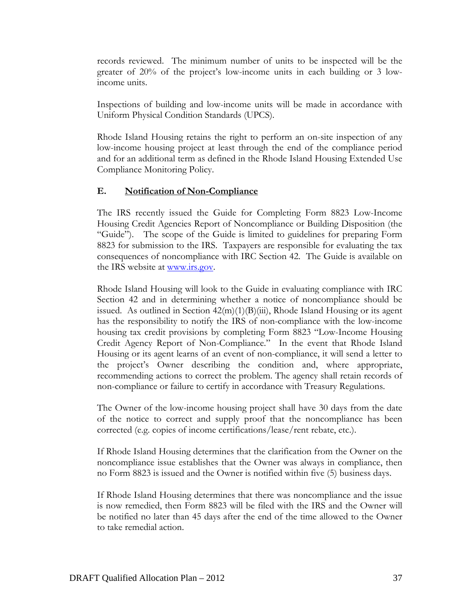records reviewed. The minimum number of units to be inspected will be the greater of 20% of the project's low-income units in each building or 3 lowincome units.

Inspections of building and low-income units will be made in accordance with Uniform Physical Condition Standards (UPCS).

Rhode Island Housing retains the right to perform an on-site inspection of any low-income housing project at least through the end of the compliance period and for an additional term as defined in the Rhode Island Housing Extended Use Compliance Monitoring Policy.

### **E. Notification of Non-Compliance**

The IRS recently issued the Guide for Completing Form 8823 Low-Income Housing Credit Agencies Report of Noncompliance or Building Disposition (the "Guide"). The scope of the Guide is limited to guidelines for preparing Form 8823 for submission to the IRS. Taxpayers are responsible for evaluating the tax consequences of noncompliance with IRC Section 42. The Guide is available on the IRS website at www.irs.gov.

Rhode Island Housing will look to the Guide in evaluating compliance with IRC Section 42 and in determining whether a notice of noncompliance should be issued. As outlined in Section  $42(m)(1)(B)(iii)$ , Rhode Island Housing or its agent has the responsibility to notify the IRS of non-compliance with the low-income housing tax credit provisions by completing Form 8823 "Low-Income Housing Credit Agency Report of Non-Compliance." In the event that Rhode Island Housing or its agent learns of an event of non-compliance, it will send a letter to the project's Owner describing the condition and, where appropriate, recommending actions to correct the problem. The agency shall retain records of non-compliance or failure to certify in accordance with Treasury Regulations.

The Owner of the low-income housing project shall have 30 days from the date of the notice to correct and supply proof that the noncompliance has been corrected (e.g. copies of income certifications/lease/rent rebate, etc.).

If Rhode Island Housing determines that the clarification from the Owner on the noncompliance issue establishes that the Owner was always in compliance, then no Form 8823 is issued and the Owner is notified within five (5) business days.

If Rhode Island Housing determines that there was noncompliance and the issue is now remedied, then Form 8823 will be filed with the IRS and the Owner will be notified no later than 45 days after the end of the time allowed to the Owner to take remedial action.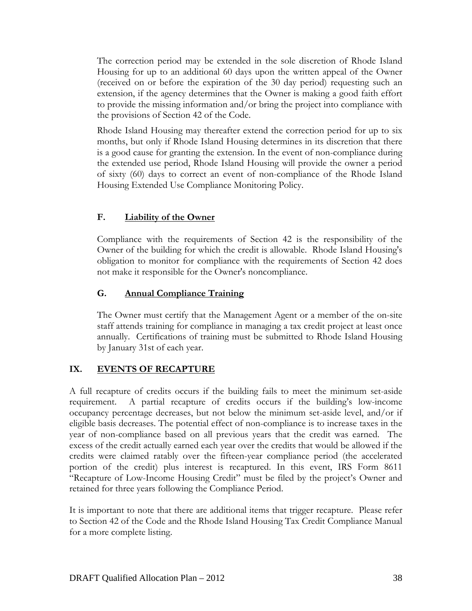The correction period may be extended in the sole discretion of Rhode Island Housing for up to an additional 60 days upon the written appeal of the Owner (received on or before the expiration of the 30 day period) requesting such an extension, if the agency determines that the Owner is making a good faith effort to provide the missing information and/or bring the project into compliance with the provisions of Section 42 of the Code.

Rhode Island Housing may thereafter extend the correction period for up to six months, but only if Rhode Island Housing determines in its discretion that there is a good cause for granting the extension. In the event of non-compliance during the extended use period, Rhode Island Housing will provide the owner a period of sixty (60) days to correct an event of non-compliance of the Rhode Island Housing Extended Use Compliance Monitoring Policy.

# **F. Liability of the Owner**

Compliance with the requirements of Section 42 is the responsibility of the Owner of the building for which the credit is allowable. Rhode Island Housing's obligation to monitor for compliance with the requirements of Section 42 does not make it responsible for the Owner's noncompliance.

# **G. Annual Compliance Training**

The Owner must certify that the Management Agent or a member of the on-site staff attends training for compliance in managing a tax credit project at least once annually. Certifications of training must be submitted to Rhode Island Housing by January 31st of each year.

# **IX. EVENTS OF RECAPTURE**

A full recapture of credits occurs if the building fails to meet the minimum set-aside requirement. A partial recapture of credits occurs if the building's low-income occupancy percentage decreases, but not below the minimum set-aside level, and/or if eligible basis decreases. The potential effect of non-compliance is to increase taxes in the year of non-compliance based on all previous years that the credit was earned. The excess of the credit actually earned each year over the credits that would be allowed if the credits were claimed ratably over the fifteen-year compliance period (the accelerated portion of the credit) plus interest is recaptured. In this event, IRS Form 8611 "Recapture of Low-Income Housing Credit" must be filed by the project's Owner and retained for three years following the Compliance Period.

It is important to note that there are additional items that trigger recapture. Please refer to Section 42 of the Code and the Rhode Island Housing Tax Credit Compliance Manual for a more complete listing.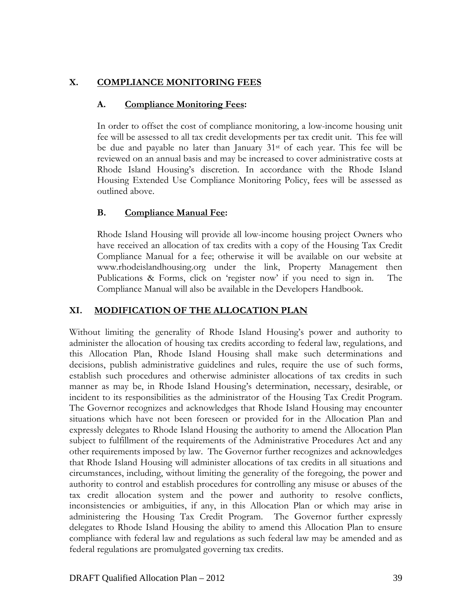# **X. COMPLIANCE MONITORING FEES**

### **A. Compliance Monitoring Fees:**

In order to offset the cost of compliance monitoring, a low-income housing unit fee will be assessed to all tax credit developments per tax credit unit. This fee will be due and payable no later than January  $31<sup>st</sup>$  of each year. This fee will be reviewed on an annual basis and may be increased to cover administrative costs at Rhode Island Housing's discretion. In accordance with the Rhode Island Housing Extended Use Compliance Monitoring Policy, fees will be assessed as outlined above.

# **B. Compliance Manual Fee:**

Rhode Island Housing will provide all low-income housing project Owners who have received an allocation of tax credits with a copy of the Housing Tax Credit Compliance Manual for a fee; otherwise it will be available on our website at www.rhodeislandhousing.org under the link, Property Management then Publications & Forms, click on 'register now' if you need to sign in. The Compliance Manual will also be available in the Developers Handbook.

# **XI. MODIFICATION OF THE ALLOCATION PLAN**

Without limiting the generality of Rhode Island Housing's power and authority to administer the allocation of housing tax credits according to federal law, regulations, and this Allocation Plan, Rhode Island Housing shall make such determinations and decisions, publish administrative guidelines and rules, require the use of such forms, establish such procedures and otherwise administer allocations of tax credits in such manner as may be, in Rhode Island Housing's determination, necessary, desirable, or incident to its responsibilities as the administrator of the Housing Tax Credit Program. The Governor recognizes and acknowledges that Rhode Island Housing may encounter situations which have not been foreseen or provided for in the Allocation Plan and expressly delegates to Rhode Island Housing the authority to amend the Allocation Plan subject to fulfillment of the requirements of the Administrative Procedures Act and any other requirements imposed by law. The Governor further recognizes and acknowledges that Rhode Island Housing will administer allocations of tax credits in all situations and circumstances, including, without limiting the generality of the foregoing, the power and authority to control and establish procedures for controlling any misuse or abuses of the tax credit allocation system and the power and authority to resolve conflicts, inconsistencies or ambiguities, if any, in this Allocation Plan or which may arise in administering the Housing Tax Credit Program. The Governor further expressly delegates to Rhode Island Housing the ability to amend this Allocation Plan to ensure compliance with federal law and regulations as such federal law may be amended and as federal regulations are promulgated governing tax credits.